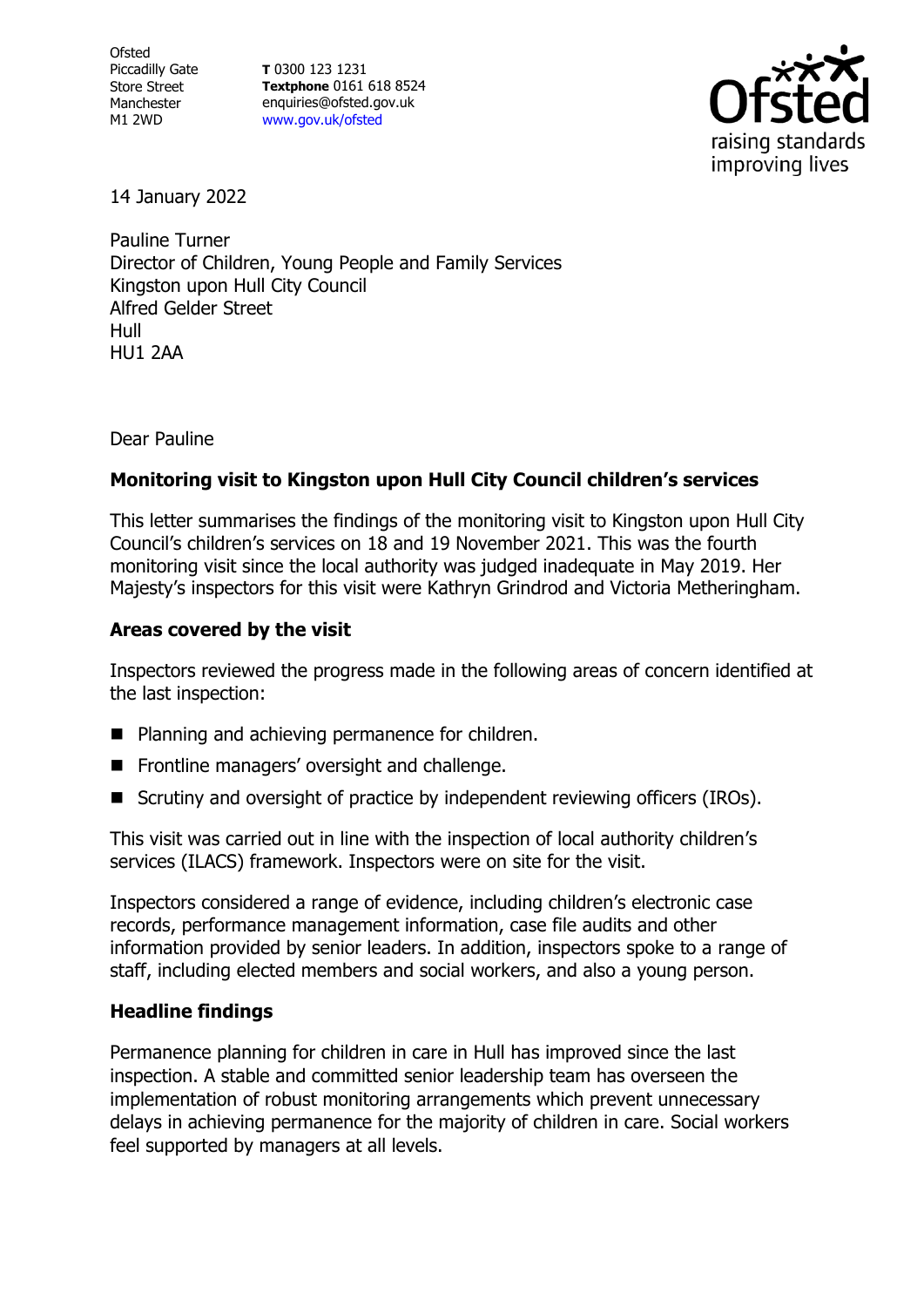**Ofsted** Piccadilly Gate Store Street Manchester M1 2WD

**T** 0300 123 1231 **Textphone** 0161 618 8524 enquiries@ofsted.gov.uk [www.gov.uk/ofsted](http://www.gov.uk/ofsted)



14 January 2022

Pauline Turner Director of Children, Young People and Family Services Kingston upon Hull City Council Alfred Gelder Street Hull HU1 2AA

Dear Pauline

## **Monitoring visit to Kingston upon Hull City Council children's services**

This letter summarises the findings of the monitoring visit to Kingston upon Hull City Council's children's services on 18 and 19 November 2021. This was the fourth monitoring visit since the local authority was judged inadequate in May 2019. Her Majesty's inspectors for this visit were Kathryn Grindrod and Victoria Metheringham.

## **Areas covered by the visit**

Inspectors reviewed the progress made in the following areas of concern identified at the last inspection:

- Planning and achieving permanence for children.
- Frontline managers' oversight and challenge.
- Scrutiny and oversight of practice by independent reviewing officers (IROs).

This visit was carried out in line with the inspection of local authority children's services (ILACS) framework. Inspectors were on site for the visit.

Inspectors considered a range of evidence, including children's electronic case records, performance management information, case file audits and other information provided by senior leaders. In addition, inspectors spoke to a range of staff, including elected members and social workers, and also a young person.

## **Headline findings**

Permanence planning for children in care in Hull has improved since the last inspection. A stable and committed senior leadership team has overseen the implementation of robust monitoring arrangements which prevent unnecessary delays in achieving permanence for the majority of children in care. Social workers feel supported by managers at all levels.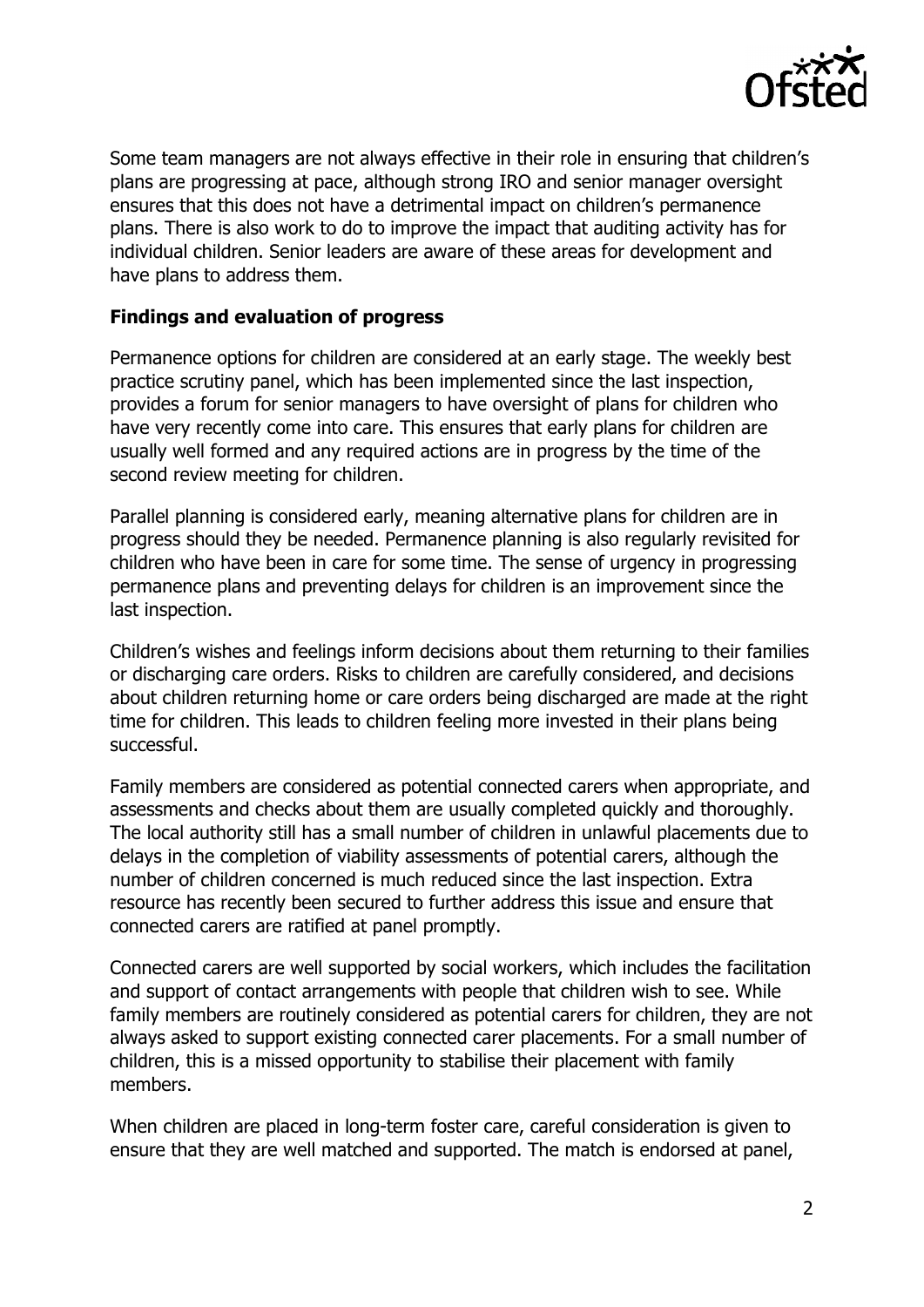

Some team managers are not always effective in their role in ensuring that children's plans are progressing at pace, although strong IRO and senior manager oversight ensures that this does not have a detrimental impact on children's permanence plans. There is also work to do to improve the impact that auditing activity has for individual children. Senior leaders are aware of these areas for development and have plans to address them.

## **Findings and evaluation of progress**

Permanence options for children are considered at an early stage. The weekly best practice scrutiny panel, which has been implemented since the last inspection, provides a forum for senior managers to have oversight of plans for children who have very recently come into care. This ensures that early plans for children are usually well formed and any required actions are in progress by the time of the second review meeting for children.

Parallel planning is considered early, meaning alternative plans for children are in progress should they be needed. Permanence planning is also regularly revisited for children who have been in care for some time. The sense of urgency in progressing permanence plans and preventing delays for children is an improvement since the last inspection.

Children's wishes and feelings inform decisions about them returning to their families or discharging care orders. Risks to children are carefully considered, and decisions about children returning home or care orders being discharged are made at the right time for children. This leads to children feeling more invested in their plans being successful.

Family members are considered as potential connected carers when appropriate, and assessments and checks about them are usually completed quickly and thoroughly. The local authority still has a small number of children in unlawful placements due to delays in the completion of viability assessments of potential carers, although the number of children concerned is much reduced since the last inspection. Extra resource has recently been secured to further address this issue and ensure that connected carers are ratified at panel promptly.

Connected carers are well supported by social workers, which includes the facilitation and support of contact arrangements with people that children wish to see. While family members are routinely considered as potential carers for children, they are not always asked to support existing connected carer placements. For a small number of children, this is a missed opportunity to stabilise their placement with family members.

When children are placed in long-term foster care, careful consideration is given to ensure that they are well matched and supported. The match is endorsed at panel,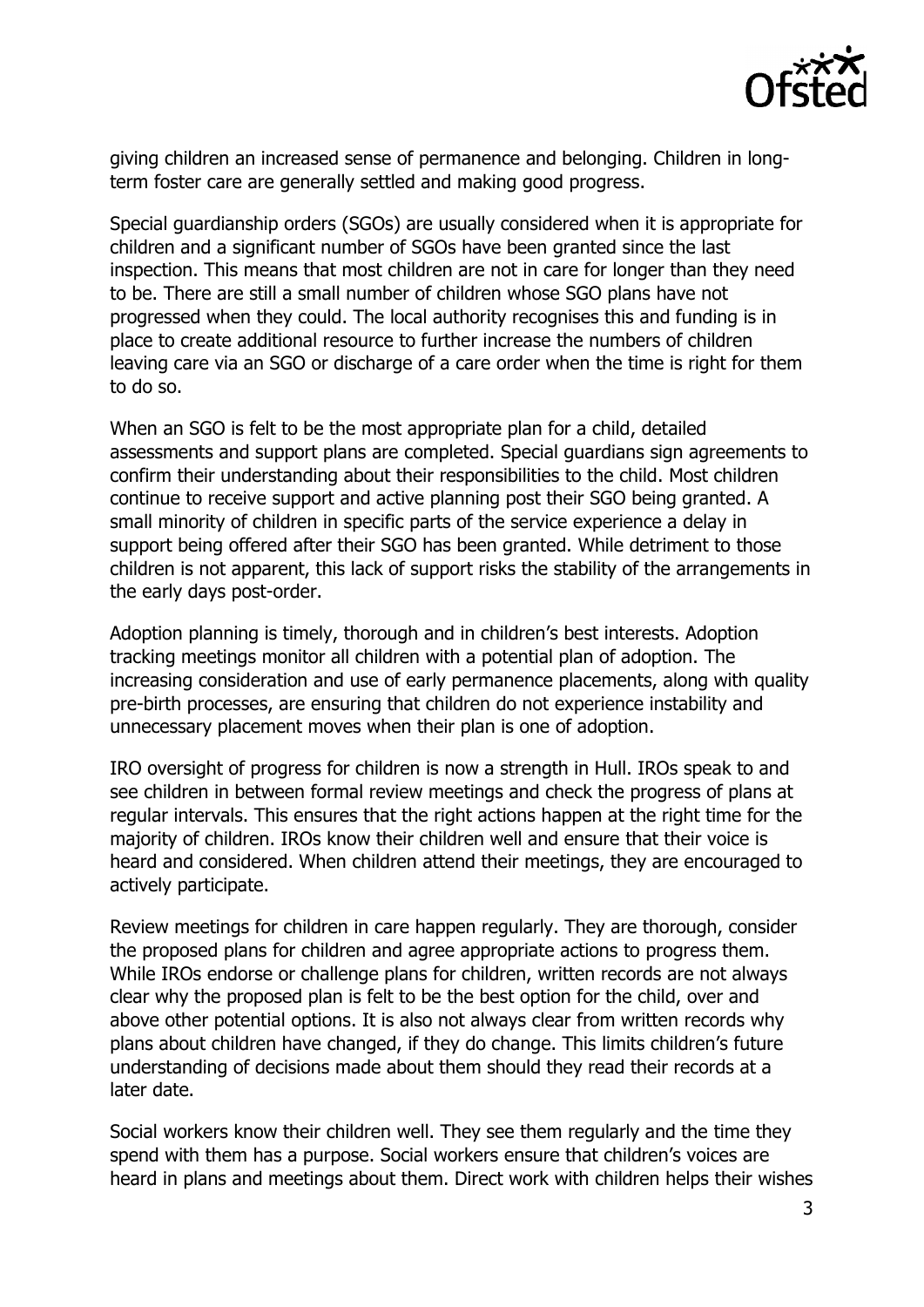

giving children an increased sense of permanence and belonging. Children in longterm foster care are generally settled and making good progress.

Special guardianship orders (SGOs) are usually considered when it is appropriate for children and a significant number of SGOs have been granted since the last inspection. This means that most children are not in care for longer than they need to be. There are still a small number of children whose SGO plans have not progressed when they could. The local authority recognises this and funding is in place to create additional resource to further increase the numbers of children leaving care via an SGO or discharge of a care order when the time is right for them to do so.

When an SGO is felt to be the most appropriate plan for a child, detailed assessments and support plans are completed. Special guardians sign agreements to confirm their understanding about their responsibilities to the child. Most children continue to receive support and active planning post their SGO being granted. A small minority of children in specific parts of the service experience a delay in support being offered after their SGO has been granted. While detriment to those children is not apparent, this lack of support risks the stability of the arrangements in the early days post-order.

Adoption planning is timely, thorough and in children's best interests. Adoption tracking meetings monitor all children with a potential plan of adoption. The increasing consideration and use of early permanence placements, along with quality pre-birth processes, are ensuring that children do not experience instability and unnecessary placement moves when their plan is one of adoption.

IRO oversight of progress for children is now a strength in Hull. IROs speak to and see children in between formal review meetings and check the progress of plans at regular intervals. This ensures that the right actions happen at the right time for the majority of children. IROs know their children well and ensure that their voice is heard and considered. When children attend their meetings, they are encouraged to actively participate.

Review meetings for children in care happen regularly. They are thorough, consider the proposed plans for children and agree appropriate actions to progress them. While IROs endorse or challenge plans for children, written records are not always clear why the proposed plan is felt to be the best option for the child, over and above other potential options. It is also not always clear from written records why plans about children have changed, if they do change. This limits children's future understanding of decisions made about them should they read their records at a later date.

Social workers know their children well. They see them regularly and the time they spend with them has a purpose. Social workers ensure that children's voices are heard in plans and meetings about them. Direct work with children helps their wishes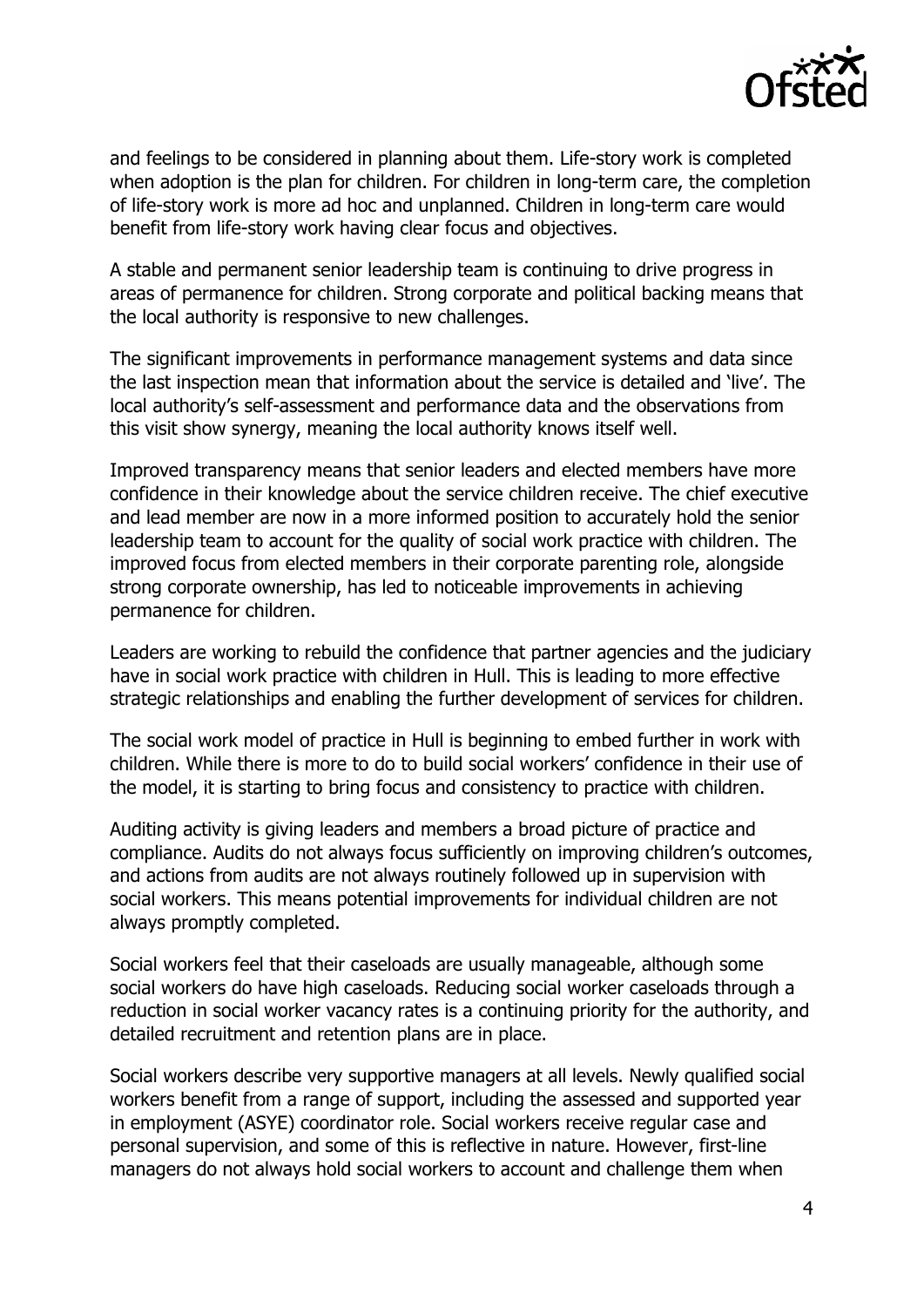

and feelings to be considered in planning about them. Life-story work is completed when adoption is the plan for children. For children in long-term care, the completion of life-story work is more ad hoc and unplanned. Children in long-term care would benefit from life-story work having clear focus and objectives.

A stable and permanent senior leadership team is continuing to drive progress in areas of permanence for children. Strong corporate and political backing means that the local authority is responsive to new challenges.

The significant improvements in performance management systems and data since the last inspection mean that information about the service is detailed and 'live'. The local authority's self-assessment and performance data and the observations from this visit show synergy, meaning the local authority knows itself well.

Improved transparency means that senior leaders and elected members have more confidence in their knowledge about the service children receive. The chief executive and lead member are now in a more informed position to accurately hold the senior leadership team to account for the quality of social work practice with children. The improved focus from elected members in their corporate parenting role, alongside strong corporate ownership, has led to noticeable improvements in achieving permanence for children.

Leaders are working to rebuild the confidence that partner agencies and the judiciary have in social work practice with children in Hull. This is leading to more effective strategic relationships and enabling the further development of services for children.

The social work model of practice in Hull is beginning to embed further in work with children. While there is more to do to build social workers' confidence in their use of the model, it is starting to bring focus and consistency to practice with children.

Auditing activity is giving leaders and members a broad picture of practice and compliance. Audits do not always focus sufficiently on improving children's outcomes, and actions from audits are not always routinely followed up in supervision with social workers. This means potential improvements for individual children are not always promptly completed.

Social workers feel that their caseloads are usually manageable, although some social workers do have high caseloads. Reducing social worker caseloads through a reduction in social worker vacancy rates is a continuing priority for the authority, and detailed recruitment and retention plans are in place.

Social workers describe very supportive managers at all levels. Newly qualified social workers benefit from a range of support, including the assessed and supported year in employment (ASYE) coordinator role. Social workers receive regular case and personal supervision, and some of this is reflective in nature. However, first-line managers do not always hold social workers to account and challenge them when